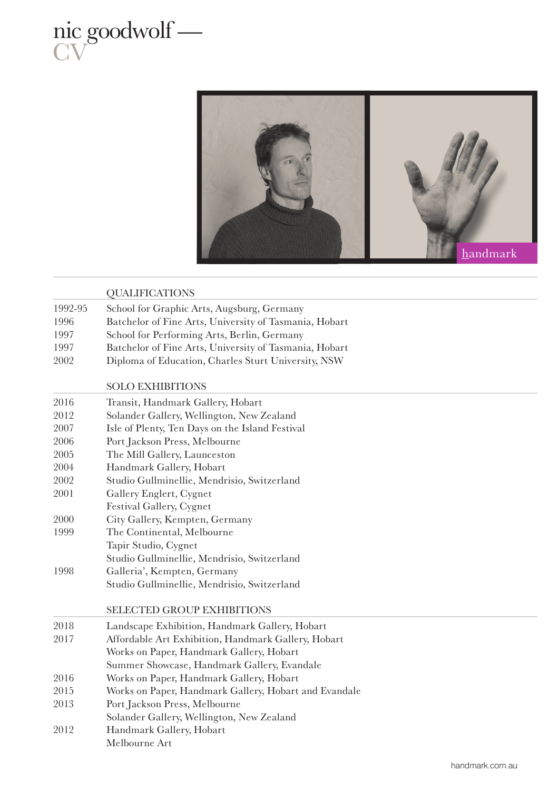

Melbourne Art



|         | <b>QUALIFICATIONS</b>                                  |  |
|---------|--------------------------------------------------------|--|
| 1992-95 | School for Graphic Arts, Augsburg, Germany             |  |
| 1996    | Batchelor of Fine Arts, University of Tasmania, Hobart |  |
| 1997    | School for Performing Arts, Berlin, Germany            |  |
| 1997    | Batchelor of Fine Arts, University of Tasmania, Hobart |  |
| 2002    | Diploma of Education, Charles Sturt University, NSW    |  |
|         | <b>SOLO EXHIBITIONS</b>                                |  |
| 2016    | Transit, Handmark Gallery, Hobart                      |  |
| 2012    | Solander Gallery, Wellington, New Zealand              |  |
| 2007    | Isle of Plenty, Ten Days on the Island Festival        |  |
| 2006    | Port Jackson Press, Melbourne                          |  |
| 2005    | The Mill Gallery, Launceston                           |  |
| 2004    | Handmark Gallery, Hobart                               |  |
| 2002    | Studio Gullminellie, Mendrisio, Switzerland            |  |
| 2001    | Gallery Englert, Cygnet                                |  |
|         | Festival Gallery, Cygnet                               |  |
| 2000    | City Gallery, Kempten, Germany                         |  |
| 1999    | The Continental, Melbourne                             |  |
|         | Tapir Studio, Cygnet                                   |  |
|         | Studio Gullminellie, Mendrisio, Switzerland            |  |
| 1998    | Galleria', Kempten, Germany                            |  |
|         | Studio Gullminellie, Mendrisio, Switzerland            |  |
|         | SELECTED GROUP EXHIBITIONS                             |  |
| 2018    | Landscape Exhibition, Handmark Gallery, Hobart         |  |
| 2017    | Affordable Art Exhibition, Handmark Gallery, Hobart    |  |
|         | Works on Paper, Handmark Gallery, Hobart               |  |
|         | Summer Showcase, Handmark Gallery, Evandale            |  |
| 2016    | Works on Paper, Handmark Gallery, Hobart               |  |
| 2015    | Works on Paper, Handmark Gallery, Hobart and Evandale  |  |
| 2013    | Port Jackson Press, Melbourne                          |  |
|         | Solander Gallery, Wellington, New Zealand              |  |
| 2012    | Handmark Gallery, Hobart                               |  |

handmark.com.au